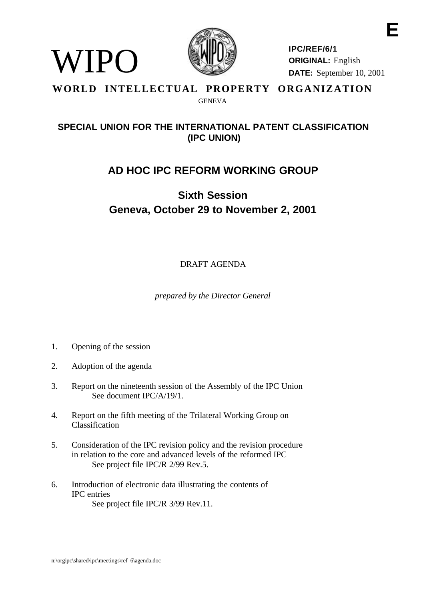

**IPC/REF/6/1 ORIGINAL:** English **DATE:** September 10, 2001

#### **WORLD INTELLECTUAL PROPERTY ORGANIZATION GENEVA**

### **SPECIAL UNION FOR THE INTERNATIONAL PATENT CLASSIFICATION (IPC UNION)**

## **AD HOC IPC REFORM WORKING GROUP**

# **Sixth Session Geneva, October 29 to November 2, 2001**

DRAFT AGENDA

*prepared by the Director General*

1. Opening of the session

VIPO

- 2. Adoption of the agenda
- 3. Report on the nineteenth session of the Assembly of the IPC Union See document IPC/A/19/1.
- 4. Report on the fifth meeting of the Trilateral Working Group on Classification
- 5. Consideration of the IPC revision policy and the revision procedure in relation to the core and advanced levels of the reformed IPC See project file IPC/R 2/99 Rev.5.
- 6. Introduction of electronic data illustrating the contents of IPC entries See project file IPC/R 3/99 Rev.11.

**E**